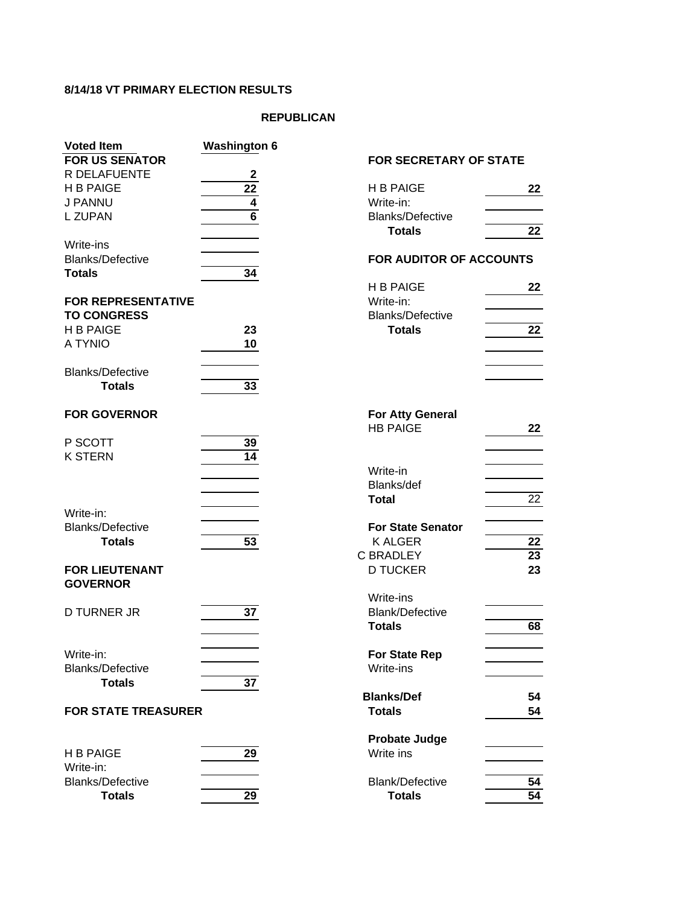#### **8/14/18 VT PRIMARY ELECTION RESULTS**

#### **REPUBLICAN**

| <b>Voted Item</b>          | <b>Washington 6</b>     |                               |                 |
|----------------------------|-------------------------|-------------------------------|-----------------|
| <b>FOR US SENATOR</b>      |                         | <b>FOR SECRETARY OF STATE</b> |                 |
| <b>R DELAFUENTE</b>        | 2                       |                               |                 |
| H B PAIGE                  | $\overline{22}$         | <b>H B PAIGE</b>              | 22              |
| J PANNU                    | $\overline{\mathbf{4}}$ | Write-in:                     |                 |
| <b>L ZUPAN</b>             | $\overline{6}$          | <b>Blanks/Defective</b>       |                 |
|                            |                         | <b>Totals</b>                 | $\overline{22}$ |
| Write-ins                  |                         |                               |                 |
| <b>Blanks/Defective</b>    |                         | FOR AUDITOR OF ACCOUNTS       |                 |
| <b>Totals</b>              | 34                      |                               |                 |
|                            |                         | <b>H B PAIGE</b>              | 22              |
| <b>FOR REPRESENTATIVE</b>  |                         | Write-in:                     |                 |
| <b>TO CONGRESS</b>         |                         | <b>Blanks/Defective</b>       |                 |
| H B PAIGE                  | 23                      | <b>Totals</b>                 | 22              |
| A TYNIO                    | 10                      |                               |                 |
|                            |                         |                               |                 |
| <b>Blanks/Defective</b>    |                         |                               |                 |
| <b>Totals</b>              | 33                      |                               |                 |
|                            |                         |                               |                 |
| <b>FOR GOVERNOR</b>        |                         | For Atty General              |                 |
|                            |                         | <b>HB PAIGE</b>               | 22              |
| P SCOTT                    | 39                      |                               |                 |
| <b>K STERN</b>             | $\overline{14}$         |                               |                 |
|                            |                         | Write-in                      |                 |
|                            |                         | Blanks/def                    |                 |
|                            |                         | <b>Total</b>                  | $\overline{22}$ |
| Write-in:                  |                         |                               |                 |
| <b>Blanks/Defective</b>    |                         | <b>For State Senator</b>      |                 |
| <b>Totals</b>              | 53                      | <b>KALGER</b>                 | $\overline{22}$ |
|                            |                         | <b>C BRADLEY</b>              | $\overline{23}$ |
| <b>FOR LIEUTENANT</b>      |                         | <b>D TUCKER</b>               | 23              |
| <b>GOVERNOR</b>            |                         |                               |                 |
|                            |                         | Write-ins                     |                 |
| <b>D TURNER JR</b>         | $\overline{37}$         | <b>Blank/Defective</b>        |                 |
|                            |                         | <b>Totals</b>                 | 68              |
|                            |                         |                               |                 |
| Write-in:                  |                         | <b>For State Rep</b>          |                 |
| <b>Blanks/Defective</b>    |                         | Write-ins                     |                 |
| <b>Totals</b>              | $\overline{37}$         |                               |                 |
|                            |                         | <b>Blanks/Def</b>             | 54              |
| <b>FOR STATE TREASURER</b> |                         | <b>Totals</b>                 | 54              |
|                            |                         |                               |                 |
|                            |                         | <b>Probate Judge</b>          |                 |
| H B PAIGE                  | 29                      | Write ins                     |                 |
| Write-in:                  |                         |                               |                 |
| <b>Blanks/Defective</b>    |                         | <b>Blank/Defective</b>        | 54              |
| <b>Totals</b>              | 29                      | <b>Totals</b>                 | 54              |

| <b>FOR SECRETARY OF STATE</b>                                              |                       |
|----------------------------------------------------------------------------|-----------------------|
| <b>H B PAIGE</b><br>Write-in:<br><b>Blanks/Defective</b><br><b>Totals</b>  | 22<br>$\overline{22}$ |
| FOR AUDITOR OF ACCOUNTS                                                    |                       |
| <b>H B PAIGE</b><br>Write-in:<br><b>Blanks/Defective</b><br><b>Totals</b>  | 22<br>22              |
| <b>For Atty General</b><br><b>HB PAIGE</b>                                 | 22                    |
| Write-in<br>Blanks/def<br><b>Total</b>                                     | 22                    |
| <b>For State Senator</b><br><b>K ALGER</b><br>C BRADLEY<br><b>D TUCKER</b> | 22<br>23<br>23        |
| Write-ins<br><b>Blank/Defective</b><br><b>Totals</b>                       | 68                    |
| <b>For State Rep</b><br>Write-ins                                          |                       |
| <b>Blanks/Def</b><br><b>Totals</b>                                         | 54<br>54              |
| <b>Probate Judge</b><br>Write ins                                          |                       |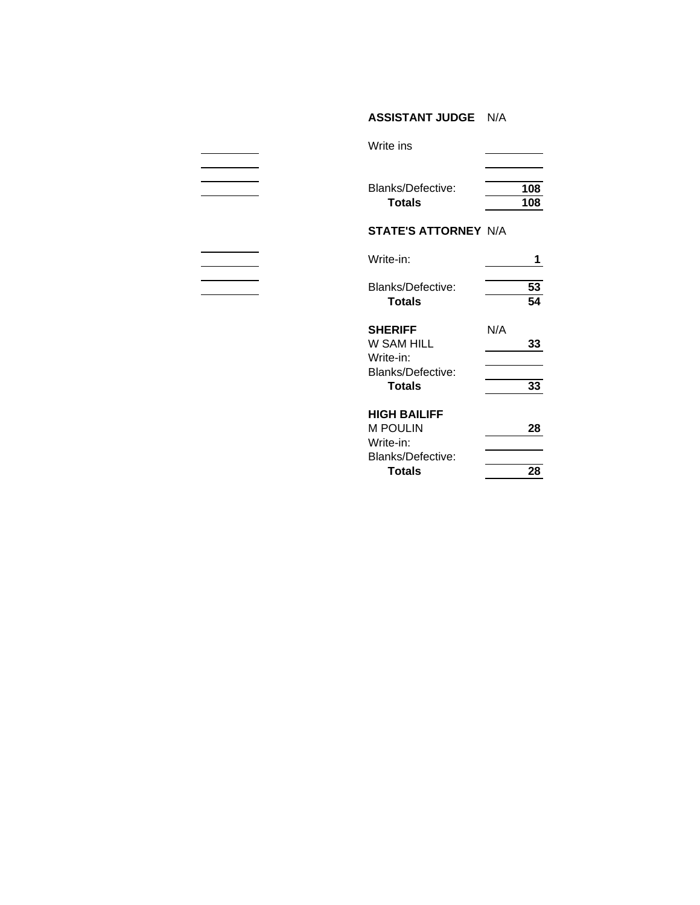### **ASSISTANT JUDGE** N/A

Write ins

| Blanks/Defective: | 108 |
|-------------------|-----|
| Totals            | 108 |

#### **STATE'S ATTORNEY** N/A

| Write-in:                                                                          |                 |
|------------------------------------------------------------------------------------|-----------------|
| Blanks/Defective:<br>Totals                                                        | 53<br>54        |
| <b>SHERIFF</b><br>W SAM HILL<br>Write-in:<br>Blanks/Defective:<br>Totals           | N/A<br>33<br>33 |
| <b>HIGH BAILIFF</b><br><b>M POULIN</b><br>Write-in:<br>Blanks/Defective:<br>Totals | 28              |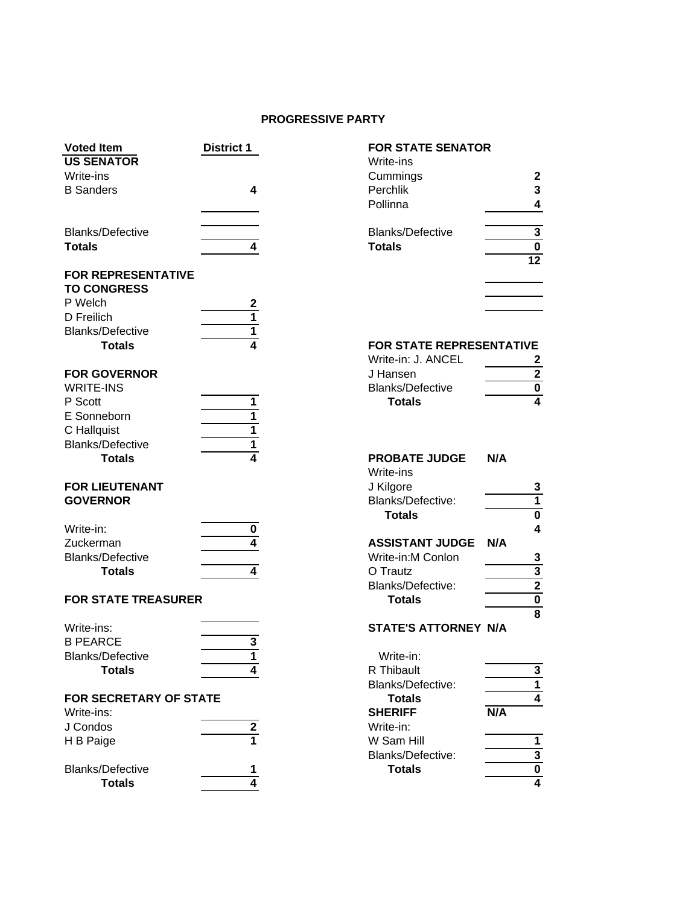#### **PROGRESSIVE PARTY**

| <b>Voted Item</b>             | <b>District 1</b>       | <b>FOR STATE SENATOR</b>           |                             |
|-------------------------------|-------------------------|------------------------------------|-----------------------------|
| <b>US SENATOR</b>             |                         | Write-ins                          |                             |
| Write-ins                     |                         | Cummings                           | $\mathbf 2$                 |
| <b>B</b> Sanders              | 4                       | Perchlik                           | 3                           |
|                               |                         | Pollinna                           | 4                           |
|                               |                         |                                    |                             |
| <b>Blanks/Defective</b>       |                         | <b>Blanks/Defective</b>            |                             |
| <b>Totals</b>                 | $\overline{\mathbf{4}}$ | <b>Totals</b>                      | $\frac{3}{0}$               |
|                               |                         |                                    | $\overline{12}$             |
| <b>FOR REPRESENTATIVE</b>     |                         |                                    |                             |
| <b>TO CONGRESS</b>            |                         |                                    |                             |
| P Welch                       | 2                       |                                    |                             |
| D Freilich                    | $\overline{1}$          |                                    |                             |
| <b>Blanks/Defective</b>       | $\overline{1}$          |                                    |                             |
| <b>Totals</b>                 | 4                       | FOR STATE REPRESENTATIVE           |                             |
|                               |                         | Write-in: J. ANCEL                 | 2                           |
| <b>FOR GOVERNOR</b>           |                         | J Hansen                           |                             |
| <b>WRITE-INS</b>              |                         | <b>Blanks/Defective</b>            | $\frac{2}{0}$               |
| P Scott                       | 1                       | <b>Totals</b>                      | $\overline{\mathbf{4}}$     |
| E Sonneborn                   | $\overline{\mathbf{1}}$ |                                    |                             |
| C Hallquist                   | $\overline{1}$          |                                    |                             |
| <b>Blanks/Defective</b>       | $\overline{\mathbf{1}}$ |                                    |                             |
| <b>Totals</b>                 | 4                       | <b>PROBATE JUDGE</b>               | N/A                         |
|                               |                         | Write-ins                          |                             |
| <b>FOR LIEUTENANT</b>         |                         | J Kilgore                          |                             |
| <b>GOVERNOR</b>               |                         | Blanks/Defective:                  | $\frac{3}{1}$               |
|                               |                         | <b>Totals</b>                      | $\overline{\mathbf{0}}$     |
| Write-in:                     | 0                       |                                    | 4                           |
| Zuckerman                     |                         | <b>ASSISTANT JUDGE</b>             | N/A                         |
| <b>Blanks/Defective</b>       |                         | Write-in:M Conlon                  |                             |
| <b>Totals</b>                 | $\overline{\mathbf{4}}$ | O Trautz                           | $\frac{3}{2}$ $\frac{2}{0}$ |
|                               |                         |                                    |                             |
| <b>FOR STATE TREASURER</b>    |                         | Blanks/Defective:<br><b>Totals</b> |                             |
|                               |                         |                                    | $\overline{\mathbf{8}}$     |
|                               |                         |                                    |                             |
| Write-ins:                    |                         | <b>STATE'S ATTORNEY N/A</b>        |                             |
| <b>B PEARCE</b>               | $\mathbf 3$             |                                    |                             |
| <b>Blanks/Defective</b>       |                         | Write-in:                          |                             |
| <b>Totals</b>                 | 4                       | R Thibault                         | $\frac{3}{1}$               |
|                               |                         | Blanks/Defective:                  |                             |
| <b>FOR SECRETARY OF STATE</b> |                         | <b>Totals</b>                      | 4                           |
| Write-ins:                    |                         | <b>SHERIFF</b>                     | N/A                         |
| J Condos                      | $\mathbf 2$             | Write-in:                          |                             |
| H B Paige                     | 1                       | W Sam Hill                         | 1                           |
|                               |                         | Blanks/Defective:                  | $\frac{3}{0}$               |
| <b>Blanks/Defective</b>       |                         | <b>Totals</b>                      |                             |
| <b>Totals</b>                 |                         |                                    |                             |

# **Voted Item District 1 FOR STATE SENATOR** Write-ins Pollinna **4**

| lanks/Defective |    |
|-----------------|----|
|                 |    |
| otals           |    |
|                 | 12 |

#### **FOR STATE REPRESENTATIVE**

| Write-in: J. ANCEL |  |
|--------------------|--|
| J Hansen           |  |
| Blanks/Defective   |  |
| Totals             |  |
|                    |  |

| <b>Totals</b>         | <b>PROBATE JUDGE</b>     | N/A |   |
|-----------------------|--------------------------|-----|---|
|                       | Write-ins                |     |   |
| <b>EUTENANT</b>       | J Kilgore                |     |   |
| <b>RNOR</b>           | Blanks/Defective:        |     |   |
|                       | <b>Totals</b>            |     |   |
|                       |                          |     |   |
| man                   | ASSISTANT JUDGE N/A      |     |   |
| Defective             | Write-in:M Conlon        |     |   |
| Totals                | O Trautz                 |     |   |
|                       | <b>Blanks/Defective:</b> |     |   |
| <b>TATE TREASURER</b> | <b>Totals</b>            |     |   |
|                       |                          |     | 8 |

## **STATE'S ATTORNEY N/A**

| Write-in:                |     |
|--------------------------|-----|
| R Thibault               | 3   |
| <b>Blanks/Defective:</b> |     |
| Totals                   |     |
| <b>SHERIFF</b>           | N/A |
| Write-in:                |     |
| W Sam Hill               |     |
| Blanks/Defective:        | 3   |
| <b>Totals</b>            |     |
|                          |     |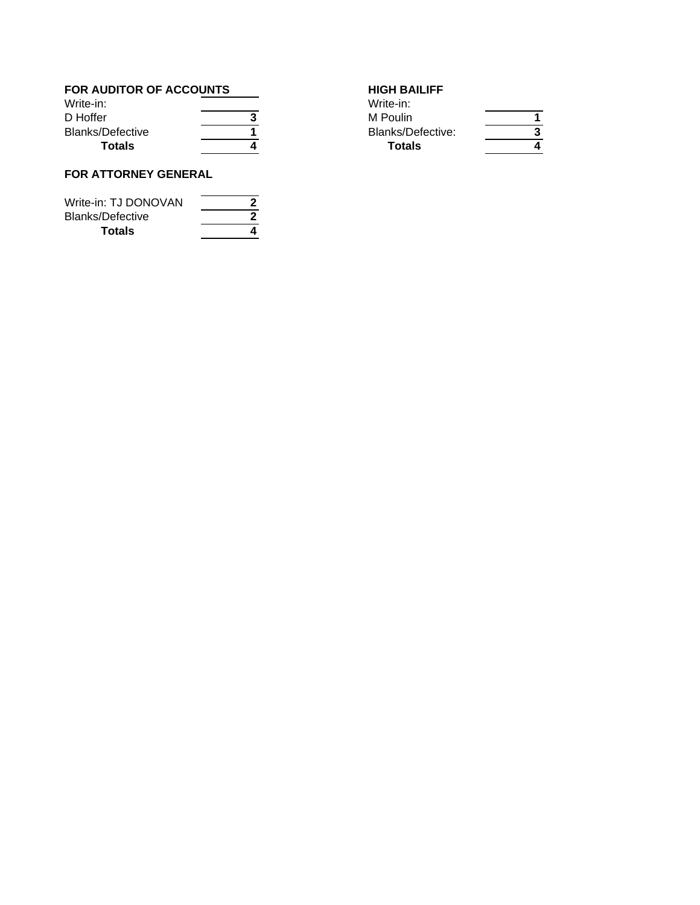#### **FOR AUDITOR OF ACCOUNTS HIGH BAILIFF**

| Write-in:               | Write-in:         |  |
|-------------------------|-------------------|--|
| D Hoffer                | M Poulin          |  |
| <b>Blanks/Defective</b> | Blanks/Defective: |  |
| <b>Totals</b>           | Totals            |  |

#### **FOR ATTORNEY GENERAL**

| Write-in: TJ DONOVAN    |  |
|-------------------------|--|
| <b>Blanks/Defective</b> |  |
| <b>Totals</b>           |  |

| ۱.        | Write-in:                |  |
|-----------|--------------------------|--|
|           | M Poulin                 |  |
| Defective | <b>Blanks/Defective:</b> |  |
| Totals    | Totals                   |  |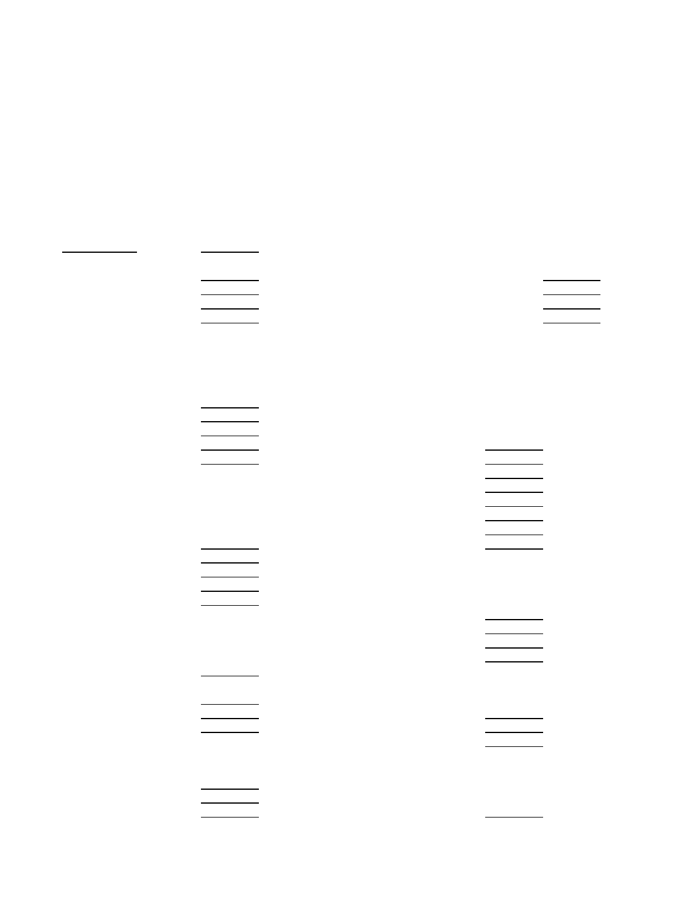÷,  $\begin{tabular}{|c|c|c|} \hline \quad \quad & \quad \quad & \quad \quad \\ \hline \quad \quad & \quad \quad & \quad \quad \\ \hline \quad \quad & \quad \quad & \quad \quad \\ \hline \quad \quad & \quad \quad & \quad \quad \\ \hline \quad \quad & \quad \quad & \quad \quad \\ \hline \quad \quad & \quad \quad & \quad \quad \\ \hline \quad \quad & \quad \quad & \quad \quad \\ \hline \end{tabular}$  $\begin{tabular}{|c|c|c|c|} \hline \quad \quad & \quad \quad & \quad \quad \\ \hline \quad \quad & \quad \quad & \quad \quad \\ \hline \quad \quad & \quad \quad & \quad \quad \\ \hline \quad \quad & \quad \quad & \quad \quad \\ \hline \quad \quad & \quad \quad & \quad \quad \\ \hline \quad \quad & \quad \quad & \quad \quad \\ \hline \quad \quad & \quad \quad & \quad \quad \\ \hline \end{tabular}$  $\begin{tabular}{|c|c|c|} \hline \quad \quad & \quad \quad & \quad \quad \\ \hline \quad \quad & \quad \quad & \quad \quad \\ \hline \quad \quad & \quad \quad & \quad \quad \\ \hline \quad \quad & \quad \quad & \quad \quad \\ \hline \quad \quad & \quad \quad & \quad \quad \\ \hline \end{tabular}$  $\begin{tabular}{|c|c|c|} \hline \quad \quad & \quad \quad & \quad \quad \\ \hline \quad \quad & \quad \quad & \quad \quad \\ \hline \quad \quad & \quad \quad & \quad \quad \\ \hline \quad \quad & \quad \quad & \quad \quad \\ \hline \quad \quad & \quad \quad & \quad \quad \\ \hline \quad \quad & \quad \quad & \quad \quad \\ \hline \quad \quad & \quad \quad & \quad \quad \\ \hline \quad \quad & \quad \quad & \quad \quad \\ \hline \quad \quad & \quad \quad & \quad \quad \\ \hline \quad \quad & \quad \quad & \quad \quad \\ \hline \quad \quad & \quad \quad & \quad \quad \\ \hline \quad \quad &$  $\begin{tabular}{|c|c|c|} \hline \quad \quad & \quad \quad & \quad \quad \\ \hline \quad \quad & \quad \quad & \quad \quad \\ \hline \quad \quad & \quad \quad & \quad \quad \\ \hline \quad \quad & \quad \quad & \quad \quad \\ \hline \quad \quad & \quad \quad & \quad \quad \\ \hline \quad \quad & \quad \quad & \quad \quad \\ \hline \quad \quad & \quad \quad & \quad \quad \\ \hline \quad \quad & \quad \quad & \quad \quad \\ \hline \quad \quad & \quad \quad & \quad \quad \\ \hline \quad \quad & \quad \quad & \quad \quad \\ \hline \quad \quad & \quad \quad & \quad \quad \\ \hline \quad \quad &$  $\begin{tabular}{|c|c|c|} \hline \quad \quad & \quad \quad & \quad \quad \\ \hline \quad \quad & \quad \quad & \quad \quad \\ \hline \quad \quad & \quad \quad & \quad \quad \\ \hline \quad \quad & \quad \quad & \quad \quad \\ \hline \quad \quad & \quad \quad & \quad \quad \\ \hline \quad \quad & \quad \quad & \quad \quad \\ \hline \quad \quad & \quad \quad & \quad \quad \\ \hline \end{tabular}$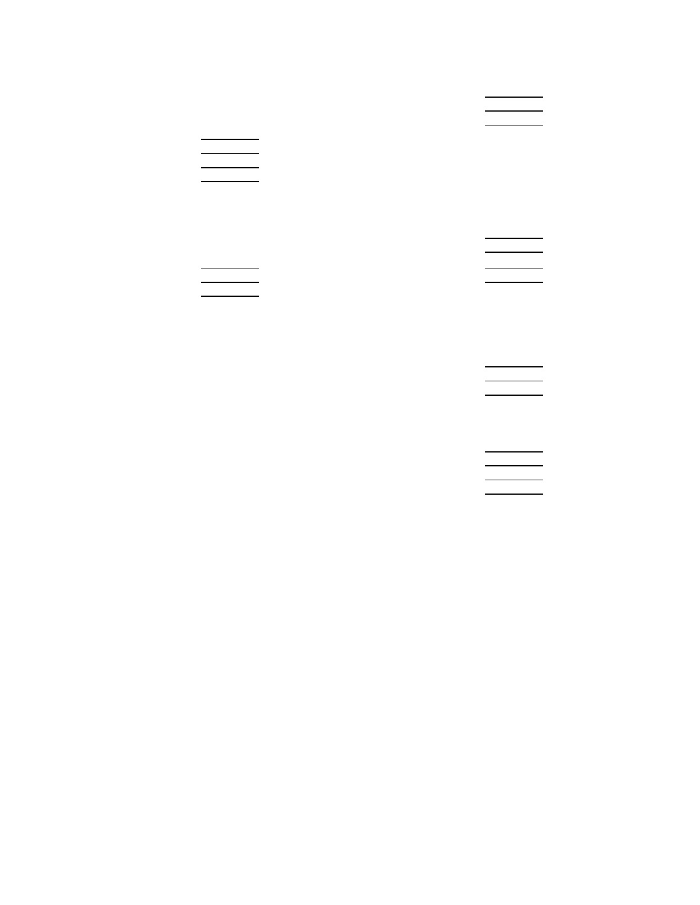$\overline{\phantom{a}}$  $\overline{\phantom{a}}$  $\begin{tabular}{|c|c|c|} \hline \quad \quad & \quad \quad & \quad \quad \\ \hline \quad \quad & \quad \quad & \quad \quad \\ \hline \quad \quad & \quad \quad & \quad \quad \\ \hline \quad \quad & \quad \quad & \quad \quad \\ \hline \quad \quad & \quad \quad & \quad \quad \\ \hline \quad \quad & \quad \quad & \quad \quad \\ \hline \quad \quad & \quad \quad & \quad \quad \\ \hline \quad \quad & \quad \quad & \quad \quad \\ \hline \quad \quad & \quad \quad & \quad \quad \\ \hline \quad \quad & \quad \quad & \quad \quad \\ \hline \quad \quad & \quad \quad & \quad \quad \\ \hline \quad \quad &$  $\begin{array}{c} \begin{array}{c} \begin{array}{c} \begin{array}{c} \end{array} \\ \end{array} \end{array} \end{array}$  $\overline{\phantom{a}}$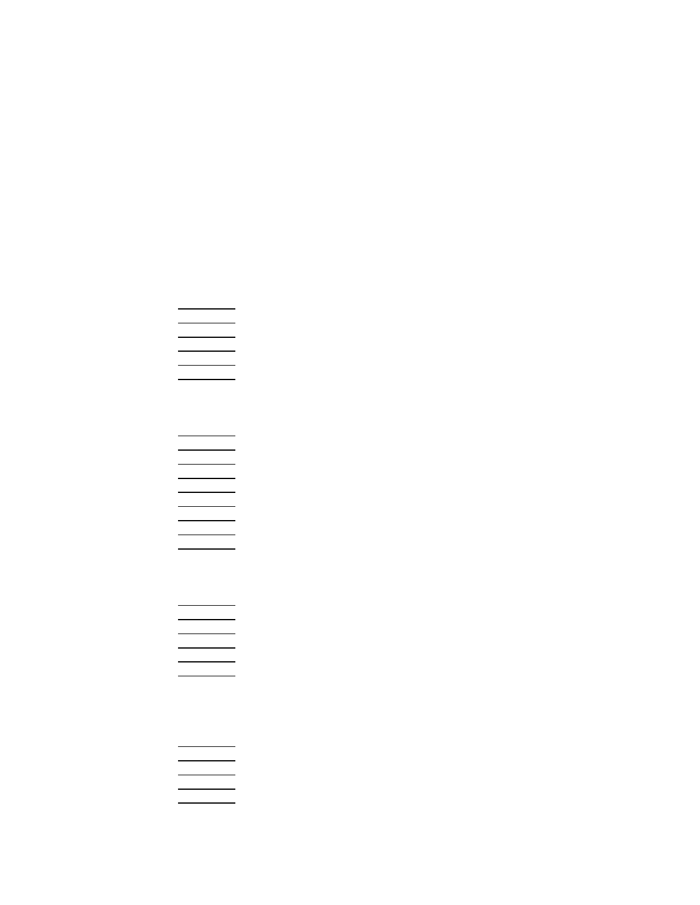$\begin{tabular}{|c|c|c|} \hline \quad \quad & \quad \quad & \quad \quad \\ \hline \quad \quad & \quad \quad & \quad \quad \\ \hline \quad \quad & \quad \quad & \quad \quad \\ \hline \quad \quad & \quad \quad & \quad \quad \\ \hline \quad \quad & \quad \quad & \quad \quad \\ \hline \quad \quad & \quad \quad & \quad \quad \\ \hline \quad \quad & \quad \quad & \quad \quad \\ \hline \quad \quad & \quad \quad & \quad \quad \\ \hline \quad \quad & \quad \quad & \quad \quad \\ \hline \quad \quad & \quad \quad & \quad \quad \\ \hline \quad \quad & \quad \quad & \quad \quad \\ \hline \quad \quad &$ 

 $\equiv$